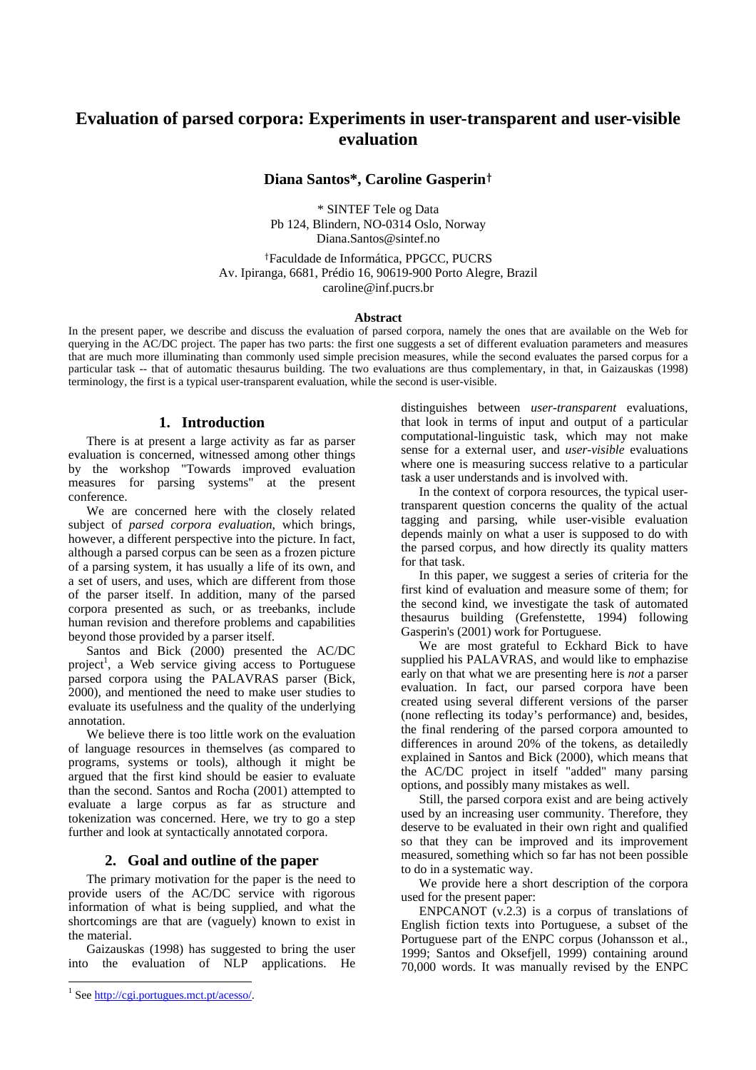# **Evaluation of parsed corpora: Experiments in user-transparent and user-visible evaluation**

# **Diana Santos\*, Caroline Gasperin**†

\* SINTEF Tele og Data Pb 124, Blindern, NO-0314 Oslo, Norway Diana.Santos@sintef.no

†Faculdade de Informática, PPGCC, PUCRS Av. Ipiranga, 6681, Prédio 16, 90619-900 Porto Alegre, Brazil caroline@inf.pucrs.br

#### **Abstract**

In the present paper, we describe and discuss the evaluation of parsed corpora, namely the ones that are available on the Web for querying in the AC/DC project. The paper has two parts: the first one suggests a set of different evaluation parameters and measures that are much more illuminating than commonly used simple precision measures, while the second evaluates the parsed corpus for a particular task -- that of automatic thesaurus building. The two evaluations are thus complementary, in that, in Gaizauskas (1998) terminology, the first is a typical user-transparent evaluation, while the second is user-visible.

# **1. Introduction**

There is at present a large activity as far as parser evaluation is concerned, witnessed among other things by the workshop "Towards improved evaluation measures for parsing systems" at the present conference.

We are concerned here with the closely related subject of *parsed corpora evaluation*, which brings, however, a different perspective into the picture. In fact, although a parsed corpus can be seen as a frozen picture of a parsing system, it has usually a life of its own, and a set of users, and uses, which are different from those of the parser itself. In addition, many of the parsed corpora presented as such, or as treebanks, include human revision and therefore problems and capabilities beyond those provided by a parser itself.

Santos and Bick (2000) presented the AC/DC project<sup>1</sup>, a Web service giving access to Portuguese parsed corpora using the PALAVRAS parser (Bick, 2000), and mentioned the need to make user studies to evaluate its usefulness and the quality of the underlying annotation.

We believe there is too little work on the evaluation of language resources in themselves (as compared to programs, systems or tools), although it might be argued that the first kind should be easier to evaluate than the second. Santos and Rocha (2001) attempted to evaluate a large corpus as far as structure and tokenization was concerned. Here, we try to go a step further and look at syntactically annotated corpora.

### **2. Goal and outline of the paper**

The primary motivation for the paper is the need to provide users of the AC/DC service with rigorous information of what is being supplied, and what the shortcomings are that are (vaguely) known to exist in the material.

Gaizauskas (1998) has suggested to bring the user into the evaluation of NLP applications. He

distinguishes between *user-transparent* evaluations, that look in terms of input and output of a particular computational-linguistic task, which may not make sense for a external user, and *user-visible* evaluations where one is measuring success relative to a particular task a user understands and is involved with.

In the context of corpora resources, the typical usertransparent question concerns the quality of the actual tagging and parsing, while user-visible evaluation depends mainly on what a user is supposed to do with the parsed corpus, and how directly its quality matters for that task.

In this paper, we suggest a series of criteria for the first kind of evaluation and measure some of them; for the second kind, we investigate the task of automated thesaurus building (Grefenstette, 1994) following Gasperin's (2001) work for Portuguese.

We are most grateful to Eckhard Bick to have supplied his PALAVRAS, and would like to emphazise early on that what we are presenting here is *not* a parser evaluation. In fact, our parsed corpora have been created using several different versions of the parser (none reflecting its today's performance) and, besides, the final rendering of the parsed corpora amounted to differences in around 20% of the tokens, as detailedly explained in Santos and Bick (2000), which means that the AC/DC project in itself "added" many parsing options, and possibly many mistakes as well.

Still, the parsed corpora exist and are being actively used by an increasing user community. Therefore, they deserve to be evaluated in their own right and qualified so that they can be improved and its improvement measured, something which so far has not been possible to do in a systematic way.

We provide here a short description of the corpora used for the present paper:

ENPCANOT  $(v.2.3)$  is a corpus of translations of English fiction texts into Portuguese, a subset of the Portuguese part of the ENPC corpus (Johansson et al., 1999; Santos and Oksefjell, 1999) containing around 70,000 words. It was manually revised by the ENPC

<sup>&</sup>lt;sup>1</sup> See http://cgi.portugues.mct.pt/acesso/.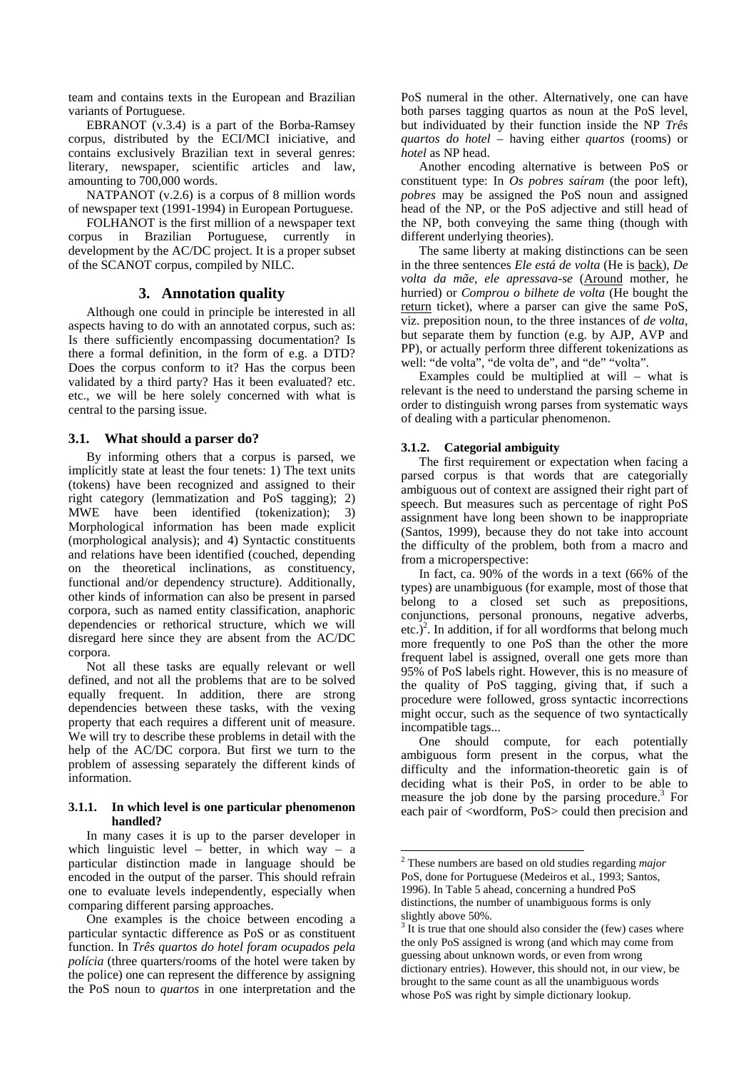team and contains texts in the European and Brazilian variants of Portuguese.

EBRANOT (v.3.4) is a part of the Borba-Ramsey corpus, distributed by the ECI/MCI iniciative, and contains exclusively Brazilian text in several genres: literary, newspaper, scientific articles and law, amounting to 700,000 words.

NATPANOT (v.2.6) is a corpus of 8 million words of newspaper text (1991-1994) in European Portuguese.

FOLHANOT is the first million of a newspaper text corpus in Brazilian Portuguese, currently in development by the AC/DC project. It is a proper subset of the SCANOT corpus, compiled by NILC.

# **3. Annotation quality**

Although one could in principle be interested in all aspects having to do with an annotated corpus, such as: Is there sufficiently encompassing documentation? Is there a formal definition, in the form of e.g. a DTD? Does the corpus conform to it? Has the corpus been validated by a third party? Has it been evaluated? etc. etc., we will be here solely concerned with what is central to the parsing issue.

# **3.1. What should a parser do?**

By informing others that a corpus is parsed, we implicitly state at least the four tenets: 1) The text units (tokens) have been recognized and assigned to their right category (lemmatization and PoS tagging); 2) MWE have been identified (tokenization); 3) Morphological information has been made explicit (morphological analysis); and 4) Syntactic constituents and relations have been identified (couched, depending on the theoretical inclinations, as constituency, functional and/or dependency structure). Additionally, other kinds of information can also be present in parsed corpora, such as named entity classification, anaphoric dependencies or rethorical structure, which we will disregard here since they are absent from the AC/DC corpora.

Not all these tasks are equally relevant or well defined, and not all the problems that are to be solved equally frequent. In addition, there are strong dependencies between these tasks, with the vexing property that each requires a different unit of measure. We will try to describe these problems in detail with the help of the AC/DC corpora. But first we turn to the problem of assessing separately the different kinds of information.

#### **3.1.1. In which level is one particular phenomenon handled?**

In many cases it is up to the parser developer in which linguistic level – better, in which way – a particular distinction made in language should be encoded in the output of the parser. This should refrain one to evaluate levels independently, especially when comparing different parsing approaches.

One examples is the choice between encoding a particular syntactic difference as PoS or as constituent function. In *Três quartos do hotel foram ocupados pela polícia* (three quarters/rooms of the hotel were taken by the police) one can represent the difference by assigning the PoS noun to *quartos* in one interpretation and the PoS numeral in the other. Alternatively, one can have both parses tagging quartos as noun at the PoS level, but individuated by their function inside the NP *Três quartos do hotel* – having either *quartos* (rooms) or *hotel* as NP head.

Another encoding alternative is between PoS or constituent type: In *Os pobres saíram* (the poor left), *pobres* may be assigned the PoS noun and assigned head of the NP, or the PoS adjective and still head of the NP, both conveying the same thing (though with different underlying theories).

The same liberty at making distinctions can be seen in the three sentences *Ele está de volta* (He is back), *De volta da mãe, ele apressava-se* (Around mother, he hurried) or *Comprou o bilhete de volta* (He bought the return ticket), where a parser can give the same PoS, viz. preposition noun, to the three instances of *de volta*, but separate them by function (e.g. by AJP, AVP and PP), or actually perform three different tokenizations as well: "de volta", "de volta de", and "de" "volta".

Examples could be multiplied at will – what is relevant is the need to understand the parsing scheme in order to distinguish wrong parses from systematic ways of dealing with a particular phenomenon.

# **3.1.2. Categorial ambiguity**

The first requirement or expectation when facing a parsed corpus is that words that are categorially ambiguous out of context are assigned their right part of speech. But measures such as percentage of right PoS assignment have long been shown to be inappropriate (Santos, 1999), because they do not take into account the difficulty of the problem, both from a macro and from a microperspective:

In fact, ca. 90% of the words in a text (66% of the types) are unambiguous (for example, most of those that belong to a closed set such as prepositions, conjunctions, personal pronouns, negative adverbs,  $etc.)<sup>2</sup>$ . In addition, if for all wordforms that belong much more frequently to one PoS than the other the more frequent label is assigned, overall one gets more than 95% of PoS labels right. However, this is no measure of the quality of PoS tagging, giving that, if such a procedure were followed, gross syntactic incorrections might occur, such as the sequence of two syntactically incompatible tags...

One should compute, for each potentially ambiguous form present in the corpus, what the difficulty and the information-theoretic gain is of deciding what is their PoS, in order to be able to measure the job done by the parsing procedure. $3$  For each pair of <wordform, PoS> could then precision and

<sup>2</sup> These numbers are based on old studies regarding *major* PoS, done for Portuguese (Medeiros et al., 1993; Santos, 1996). In Table 5 ahead, concerning a hundred PoS distinctions, the number of unambiguous forms is only slightly above 50%.

 $3 \text{ It}$  is true that one should also consider the (few) cases where the only PoS assigned is wrong (and which may come from guessing about unknown words, or even from wrong dictionary entries). However, this should not, in our view, be brought to the same count as all the unambiguous words whose PoS was right by simple dictionary lookup.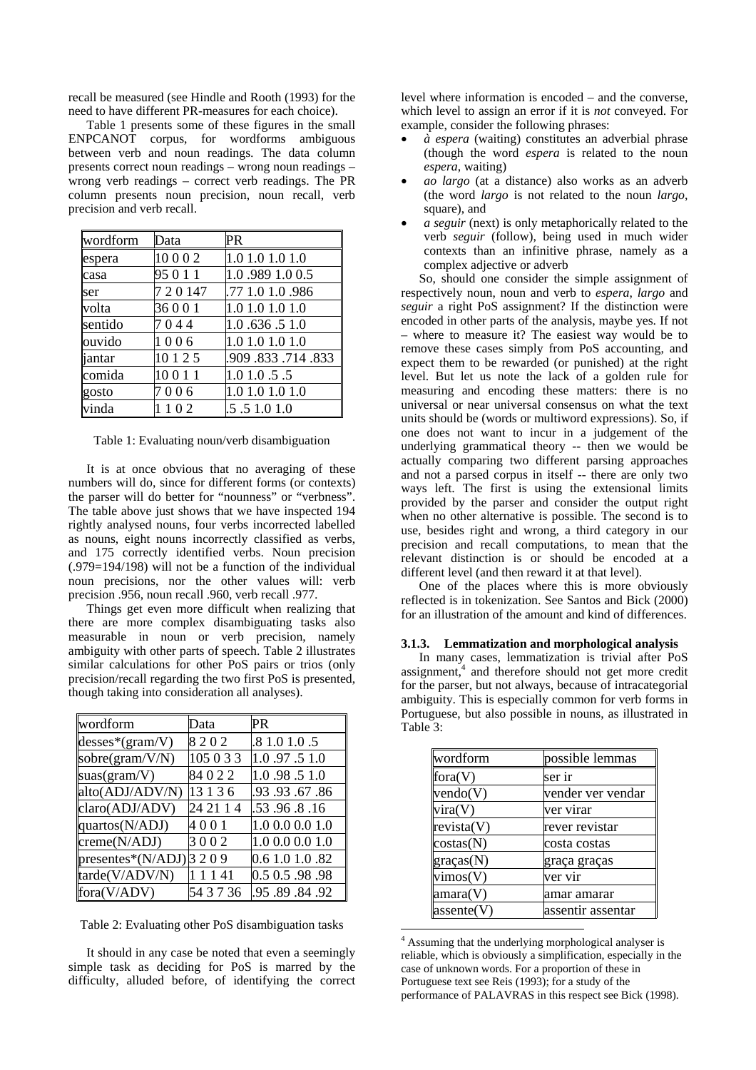recall be measured (see Hindle and Rooth (1993) for the need to have different PR-measures for each choice).

Table 1 presents some of these figures in the small ENPCANOT corpus, for wordforms ambiguous between verb and noun readings. The data column presents correct noun readings – wrong noun readings – wrong verb readings – correct verb readings. The PR column presents noun precision, noun recall, verb precision and verb recall.

| wordform | Data      | PR               |
|----------|-----------|------------------|
| espera   | 10002     | 1.0 1.0 1.0 1.0  |
| casa     | 95 0 1 1  | 1.0.989 1.0 0.5  |
| ser      | 7 2 0 147 | .77 1.0 1.0 .986 |
| volta    | 36001     | 1.0 1.0 1.0 1.0  |
| sentido  | 7044      | 1.0 .636 .5 1.0  |
| ouvido   | 1006      | 1.0 1.0 1.0 1.0  |
| jantar   | 10 1 2 5  | .909.833.714.833 |
| comida   | 10011     | 1.01.0.5.5       |
| gosto    | 7006      | 1.0 1.0 1.0 1.0  |
| vinda    | 1102      | .5 .5 1.0 1.0    |

Table 1: Evaluating noun/verb disambiguation

It is at once obvious that no averaging of these numbers will do, since for different forms (or contexts) the parser will do better for "nounness" or "verbness". The table above just shows that we have inspected 194 rightly analysed nouns, four verbs incorrected labelled as nouns, eight nouns incorrectly classified as verbs, and 175 correctly identified verbs. Noun precision (.979=194/198) will not be a function of the individual noun precisions, nor the other values will: verb precision .956, noun recall .960, verb recall .977.

Things get even more difficult when realizing that there are more complex disambiguating tasks also measurable in noun or verb precision, namely ambiguity with other parts of speech. Table 2 illustrates similar calculations for other PoS pairs or trios (only precision/recall regarding the two first PoS is presented, though taking into consideration all analyses).

| wordform                            | Data      | PR              |
|-------------------------------------|-----------|-----------------|
| $desses*(gram/V)$                   | 8202      | .8 1.0 1.0 .5   |
| sobre(gram/V/N)                     | 105 0 3 3 | 1.0.97.51.0     |
| suas( $gram/V$ )                    | 84022     | 1.0.98.51.0     |
| alto(ADJ/ADV/N)                     | 13 1 3 6  | .93.93.67.86    |
| claro(ADJ/ADV)                      | 24 21 1 4 | .53.96.8.16     |
| quartos(N/ADJ)                      | 4001      | 1.0 0.0 0.0 1.0 |
| $\text{creme(N/ADJ)}$               | 3002      | 1.0 0.0 0.0 1.0 |
| presentes*( $N$ /ADJ) $\beta$ 2 0 9 |           | 0.6 1.0 1.0 .82 |
| tarde(V/ADV/N)                      | 1 1 1 4 1 | 0.5 0.5 .98 .98 |
| fora(V/ADV)                         | 54 3 7 36 | .95 .89 .84 .92 |

Table 2: Evaluating other PoS disambiguation tasks

It should in any case be noted that even a seemingly simple task as deciding for PoS is marred by the difficulty, alluded before, of identifying the correct level where information is encoded – and the converse, which level to assign an error if it is *not* conveyed. For example, consider the following phrases:

- *à espera* (waiting) constitutes an adverbial phrase (though the word *espera* is related to the noun *espera*, waiting)
- *ao largo* (at a distance) also works as an adverb (the word *largo* is not related to the noun *largo*, square), and
- *a seguir* (next) is only metaphorically related to the verb *seguir* (follow), being used in much wider contexts than an infinitive phrase, namely as a complex adjective or adverb

So, should one consider the simple assignment of respectively noun, noun and verb to *espera*, *largo* and *seguir* a right PoS assignment? If the distinction were encoded in other parts of the analysis, maybe yes. If not – where to measure it? The easiest way would be to remove these cases simply from PoS accounting, and expect them to be rewarded (or punished) at the right level. But let us note the lack of a golden rule for measuring and encoding these matters: there is no universal or near universal consensus on what the text units should be (words or multiword expressions). So, if one does not want to incur in a judgement of the underlying grammatical theory -- then we would be actually comparing two different parsing approaches and not a parsed corpus in itself -- there are only two ways left. The first is using the extensional limits provided by the parser and consider the output right when no other alternative is possible. The second is to use, besides right and wrong, a third category in our precision and recall computations, to mean that the relevant distinction is or should be encoded at a different level (and then reward it at that level).

One of the places where this is more obviously reflected is in tokenization. See Santos and Bick (2000) for an illustration of the amount and kind of differences.

### **3.1.3. Lemmatization and morphological analysis**

In many cases, lemmatization is trivial after PoS assignment,<sup>4</sup> and therefore should not get more credit for the parser, but not always, because of intracategorial ambiguity. This is especially common for verb forms in Portuguese, but also possible in nouns, as illustrated in Table 3:

| wordform   | possible lemmas   |
|------------|-------------------|
| fora(V)    | ser ir            |
| vendo(V)   | vender ver vendar |
| vira(V)    | ver virar         |
| revista(V) | rever revistar    |
| costas(N)  | costa costas      |
| gracas(N)  | graça graças      |
| vimos(V)   | ver vir           |
| amara(V)   | amar amarar       |
| asserte(V) | assentir assentar |

 $\overline{a}$ <sup>4</sup> Assuming that the underlying morphological analyser is reliable, which is obviously a simplification, especially in the case of unknown words. For a proportion of these in Portuguese text see Reis (1993); for a study of the performance of PALAVRAS in this respect see Bick (1998).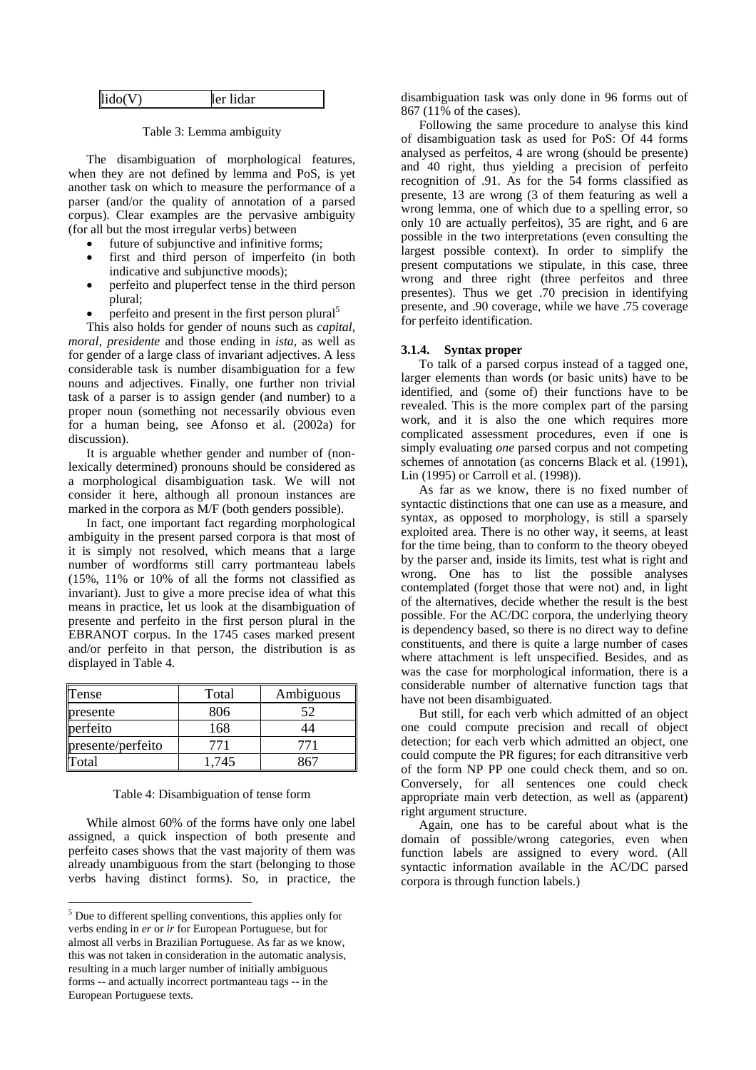| lido(V)<br>lıdar<br>ler |
|-------------------------|
|-------------------------|

Table 3: Lemma ambiguity

The disambiguation of morphological features, when they are not defined by lemma and PoS, is yet another task on which to measure the performance of a parser (and/or the quality of annotation of a parsed corpus). Clear examples are the pervasive ambiguity (for all but the most irregular verbs) between

- future of subjunctive and infinitive forms;
- first and third person of imperfeito (in both indicative and subjunctive moods);
- perfeito and pluperfect tense in the third person plural;
- perfeito and present in the first person plural<sup>5</sup>

This also holds for gender of nouns such as *capital*, *moral*, *presidente* and those ending in *ista*, as well as for gender of a large class of invariant adjectives. A less considerable task is number disambiguation for a few nouns and adjectives. Finally, one further non trivial task of a parser is to assign gender (and number) to a proper noun (something not necessarily obvious even for a human being, see Afonso et al. (2002a) for discussion).

It is arguable whether gender and number of (nonlexically determined) pronouns should be considered as a morphological disambiguation task. We will not consider it here, although all pronoun instances are marked in the corpora as M/F (both genders possible).

In fact, one important fact regarding morphological ambiguity in the present parsed corpora is that most of it is simply not resolved, which means that a large number of wordforms still carry portmanteau labels (15%, 11% or 10% of all the forms not classified as invariant). Just to give a more precise idea of what this means in practice, let us look at the disambiguation of presente and perfeito in the first person plural in the EBRANOT corpus. In the 1745 cases marked present and/or perfeito in that person, the distribution is as displayed in Table 4.

| Tense             | Total | Ambiguous |
|-------------------|-------|-----------|
| presente          | 806   | 52        |
| perfeito          | 168   | 14        |
| presente/perfeito | 771   | 771       |
| Total             | 1.745 |           |

#### Table 4: Disambiguation of tense form

While almost 60% of the forms have only one label assigned, a quick inspection of both presente and perfeito cases shows that the vast majority of them was already unambiguous from the start (belonging to those verbs having distinct forms). So, in practice, the

disambiguation task was only done in 96 forms out of 867 (11% of the cases).

Following the same procedure to analyse this kind of disambiguation task as used for PoS: Of 44 forms analysed as perfeitos, 4 are wrong (should be presente) and 40 right, thus yielding a precision of perfeito recognition of .91. As for the 54 forms classified as presente, 13 are wrong (3 of them featuring as well a wrong lemma, one of which due to a spelling error, so only 10 are actually perfeitos), 35 are right, and 6 are possible in the two interpretations (even consulting the largest possible context). In order to simplify the present computations we stipulate, in this case, three wrong and three right (three perfeitos and three presentes). Thus we get .70 precision in identifying presente, and .90 coverage, while we have .75 coverage for perfeito identification.

#### **3.1.4. Syntax proper**

To talk of a parsed corpus instead of a tagged one, larger elements than words (or basic units) have to be identified, and (some of) their functions have to be revealed. This is the more complex part of the parsing work, and it is also the one which requires more complicated assessment procedures, even if one is simply evaluating *one* parsed corpus and not competing schemes of annotation (as concerns Black et al. (1991), Lin (1995) or Carroll et al. (1998)).

As far as we know, there is no fixed number of syntactic distinctions that one can use as a measure, and syntax, as opposed to morphology, is still a sparsely exploited area. There is no other way, it seems, at least for the time being, than to conform to the theory obeyed by the parser and, inside its limits, test what is right and wrong. One has to list the possible analyses contemplated (forget those that were not) and, in light of the alternatives, decide whether the result is the best possible. For the AC/DC corpora, the underlying theory is dependency based, so there is no direct way to define constituents, and there is quite a large number of cases where attachment is left unspecified. Besides, and as was the case for morphological information, there is a considerable number of alternative function tags that have not been disambiguated.

But still, for each verb which admitted of an object one could compute precision and recall of object detection; for each verb which admitted an object, one could compute the PR figures; for each ditransitive verb of the form NP PP one could check them, and so on. Conversely, for all sentences one could check appropriate main verb detection, as well as (apparent) right argument structure.

Again, one has to be careful about what is the domain of possible/wrong categories, even when function labels are assigned to every word. (All syntactic information available in the AC/DC parsed corpora is through function labels.)

<sup>&</sup>lt;sup>5</sup> Due to different spelling conventions, this applies only for verbs ending in *er* or *ir* for European Portuguese, but for almost all verbs in Brazilian Portuguese. As far as we know, this was not taken in consideration in the automatic analysis, resulting in a much larger number of initially ambiguous forms -- and actually incorrect portmanteau tags -- in the European Portuguese texts.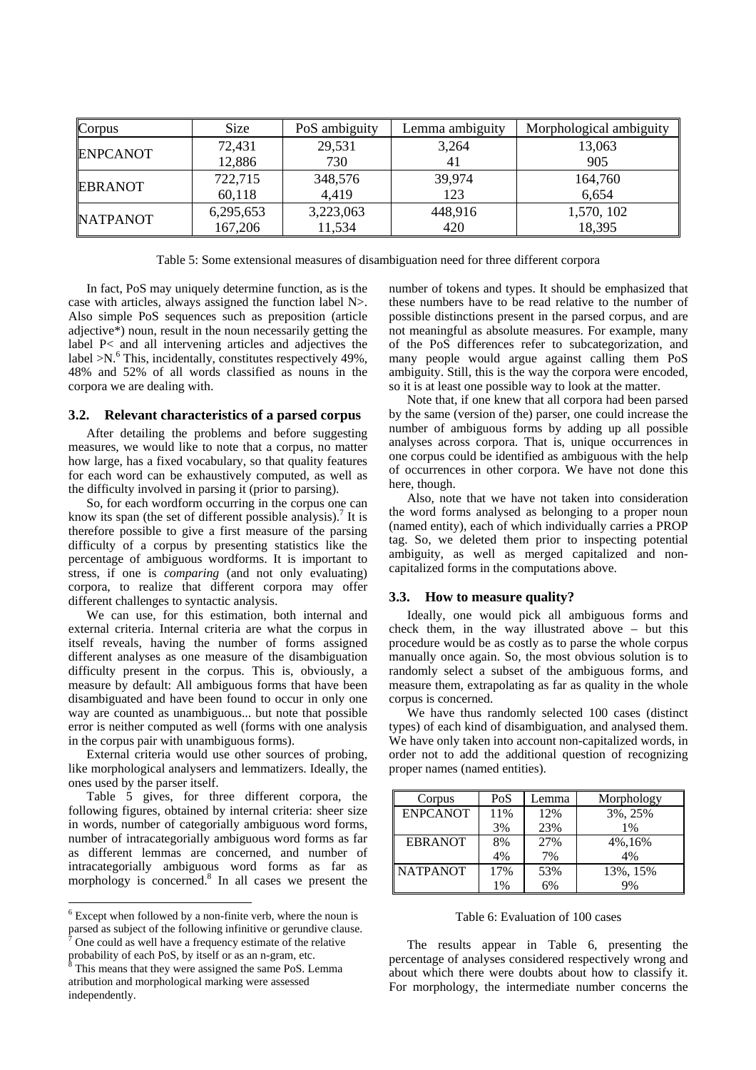| Corpus          | Size      | PoS ambiguity | Lemma ambiguity | Morphological ambiguity |
|-----------------|-----------|---------------|-----------------|-------------------------|
| <b>ENPCANOT</b> | 72,431    | 29,531        | 3,264           | 13,063                  |
|                 | 12,886    | 730           | 4,              | 905                     |
| <b>EBRANOT</b>  | 722,715   | 348,576       | 39,974          | 164,760                 |
|                 | 60,118    | 4.419         | 123             | 6,654                   |
| <b>NATPANOT</b> | 6,295,653 | 3,223,063     | 448,916         | 1,570, 102              |
|                 | 167,206   | 11,534        | 420             | 18,395                  |

Table 5: Some extensional measures of disambiguation need for three different corpora

In fact, PoS may uniquely determine function, as is the case with articles, always assigned the function label N>. Also simple PoS sequences such as preposition (article adjective\*) noun, result in the noun necessarily getting the label P< and all intervening articles and adjectives the label  $>N$ .<sup>6</sup> This, incidentally, constitutes respectively 49%, 48% and 52% of all words classified as nouns in the corpora we are dealing with.

### **3.2. Relevant characteristics of a parsed corpus**

After detailing the problems and before suggesting measures, we would like to note that a corpus, no matter how large, has a fixed vocabulary, so that quality features for each word can be exhaustively computed, as well as the difficulty involved in parsing it (prior to parsing).

So, for each wordform occurring in the corpus one can know its span (the set of different possible analysis).<sup>7</sup> It is therefore possible to give a first measure of the parsing difficulty of a corpus by presenting statistics like the percentage of ambiguous wordforms. It is important to stress, if one is *comparing* (and not only evaluating) corpora, to realize that different corpora may offer different challenges to syntactic analysis.

We can use, for this estimation, both internal and external criteria. Internal criteria are what the corpus in itself reveals, having the number of forms assigned different analyses as one measure of the disambiguation difficulty present in the corpus. This is, obviously, a measure by default: All ambiguous forms that have been disambiguated and have been found to occur in only one way are counted as unambiguous... but note that possible error is neither computed as well (forms with one analysis in the corpus pair with unambiguous forms).

External criteria would use other sources of probing, like morphological analysers and lemmatizers. Ideally, the ones used by the parser itself.

Table 5 gives, for three different corpora, the following figures, obtained by internal criteria: sheer size in words, number of categorially ambiguous word forms, number of intracategorially ambiguous word forms as far as different lemmas are concerned, and number of intracategorially ambiguous word forms as far as morphology is concerned.<sup>8</sup> In all cases we present the

number of tokens and types. It should be emphasized that these numbers have to be read relative to the number of possible distinctions present in the parsed corpus, and are not meaningful as absolute measures. For example, many of the PoS differences refer to subcategorization, and many people would argue against calling them PoS ambiguity. Still, this is the way the corpora were encoded, so it is at least one possible way to look at the matter.

Note that, if one knew that all corpora had been parsed by the same (version of the) parser, one could increase the number of ambiguous forms by adding up all possible analyses across corpora. That is, unique occurrences in one corpus could be identified as ambiguous with the help of occurrences in other corpora. We have not done this here, though.

Also, note that we have not taken into consideration the word forms analysed as belonging to a proper noun (named entity), each of which individually carries a PROP tag. So, we deleted them prior to inspecting potential ambiguity, as well as merged capitalized and noncapitalized forms in the computations above.

# **3.3. How to measure quality?**

Ideally, one would pick all ambiguous forms and check them, in the way illustrated above – but this procedure would be as costly as to parse the whole corpus manually once again. So, the most obvious solution is to randomly select a subset of the ambiguous forms, and measure them, extrapolating as far as quality in the whole corpus is concerned.

We have thus randomly selected 100 cases (distinct types) of each kind of disambiguation, and analysed them. We have only taken into account non-capitalized words, in order not to add the additional question of recognizing proper names (named entities).

| Corpus          | PoS | Lemma | Morphology |
|-----------------|-----|-------|------------|
| <b>ENPCANOT</b> | 11% | 12%   | 3%, 25%    |
|                 | 3%  | 23%   | 1%         |
| <b>EBRANOT</b>  | 8%  | 27%   | 4%,16%     |
|                 | 4%  | 7%    | 4%         |
| <b>NATPANOT</b> | 17% | 53%   | 13%, 15%   |
|                 | 1%  | 6%    | 9%         |

### Table 6: Evaluation of 100 cases

The results appear in Table 6, presenting the percentage of analyses considered respectively wrong and about which there were doubts about how to classify it. For morphology, the intermediate number concerns the

 $6$  Except when followed by a non-finite verb, where the noun is parsed as subject of the following infinitive or gerundive clause. 7

One could as well have a frequency estimate of the relative probability of each PoS, by itself or as an n-gram, etc.<br><sup>8</sup> This means that they were assigned the same PoS. Let

This means that they were assigned the same PoS. Lemma atribution and morphological marking were assessed independently.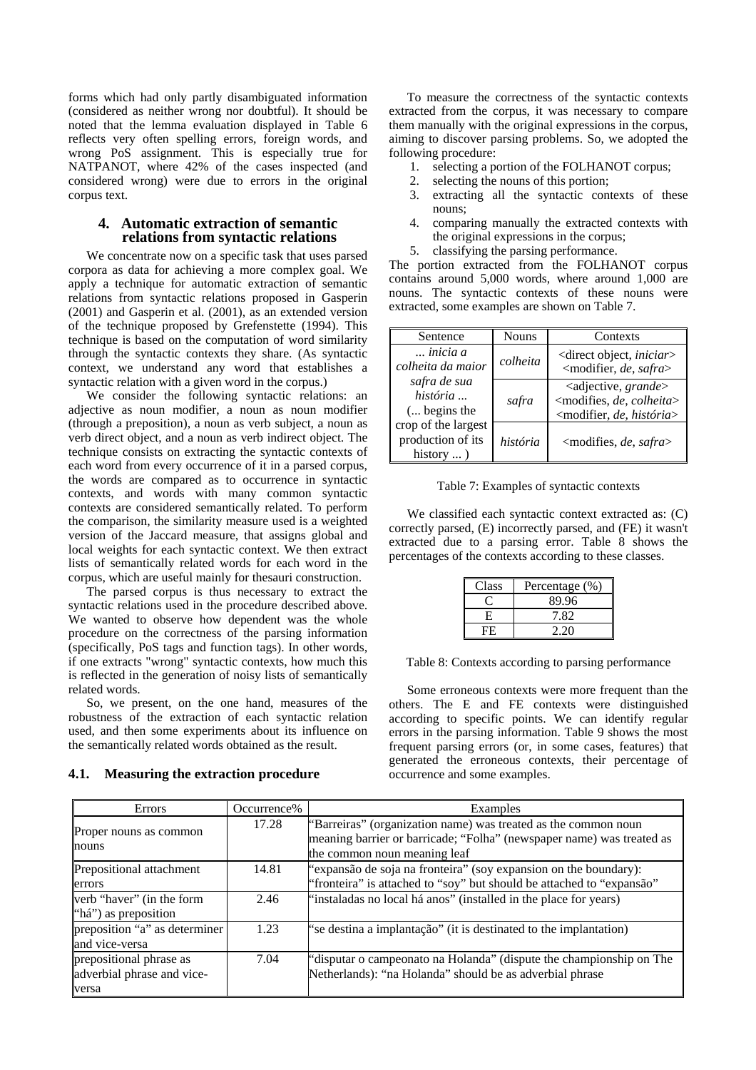forms which had only partly disambiguated information (considered as neither wrong nor doubtful). It should be noted that the lemma evaluation displayed in Table 6 reflects very often spelling errors, foreign words, and wrong PoS assignment. This is especially true for NATPANOT, where 42% of the cases inspected (and considered wrong) were due to errors in the original corpus text.

# **4. Automatic extraction of semantic relations from syntactic relations**

We concentrate now on a specific task that uses parsed corpora as data for achieving a more complex goal. We apply a technique for automatic extraction of semantic relations from syntactic relations proposed in Gasperin (2001) and Gasperin et al. (2001), as an extended version of the technique proposed by Grefenstette (1994). This technique is based on the computation of word similarity through the syntactic contexts they share. (As syntactic context, we understand any word that establishes a syntactic relation with a given word in the corpus.)

We consider the following syntactic relations: an adjective as noun modifier, a noun as noun modifier (through a preposition), a noun as verb subject, a noun as verb direct object, and a noun as verb indirect object. The technique consists on extracting the syntactic contexts of each word from every occurrence of it in a parsed corpus, the words are compared as to occurrence in syntactic contexts, and words with many common syntactic contexts are considered semantically related. To perform the comparison, the similarity measure used is a weighted version of the Jaccard measure, that assigns global and local weights for each syntactic context. We then extract lists of semantically related words for each word in the corpus, which are useful mainly for thesauri construction.

The parsed corpus is thus necessary to extract the syntactic relations used in the procedure described above. We wanted to observe how dependent was the whole procedure on the correctness of the parsing information (specifically, PoS tags and function tags). In other words, if one extracts "wrong" syntactic contexts, how much this is reflected in the generation of noisy lists of semantically related words.

So, we present, on the one hand, measures of the robustness of the extraction of each syntactic relation used, and then some experiments about its influence on the semantically related words obtained as the result.

### **4.1. Measuring the extraction procedure**

To measure the correctness of the syntactic contexts extracted from the corpus, it was necessary to compare them manually with the original expressions in the corpus, aiming to discover parsing problems. So, we adopted the following procedure:

- 1. selecting a portion of the FOLHANOT corpus;
- 2. selecting the nouns of this portion;
- 3. extracting all the syntactic contexts of these nouns;
- 4. comparing manually the extracted contexts with the original expressions in the corpus;
- 5. classifying the parsing performance.

The portion extracted from the FOLHANOT corpus contains around 5,000 words, where around 1,000 are nouns. The syntactic contexts of these nouns were extracted, some examples are shown on Table 7.

| Sentence                                                      | Nouns    | Contexts                                                                                                                          |
|---------------------------------------------------------------|----------|-----------------------------------------------------------------------------------------------------------------------------------|
| inicia a<br>colheita da maior                                 | colheita | <direct <i="" object,="">iniciar&gt;<br/><modifier, de,="" safra=""></modifier,></direct>                                         |
| safra de sua<br>história<br>( begins the                      | safra    | <adjective, grande=""><br/><modifies, colheita="" de,=""><br/><modifier, de,="" história=""></modifier,></modifies,></adjective,> |
| crop of the largest<br>production of its<br>history $\dots$ ) | história | <modifies, de,="" safra=""></modifies,>                                                                                           |

Table 7: Examples of syntactic contexts

We classified each syntactic context extracted as: (C) correctly parsed, (E) incorrectly parsed, and (FE) it wasn't extracted due to a parsing error. Table 8 shows the percentages of the contexts according to these classes.

| Class | Percentage (%) |
|-------|----------------|
|       | 89.96          |
| E     | 7.82           |
| FE    | 2.20           |

Table 8: Contexts according to parsing performance

Some erroneous contexts were more frequent than the others. The E and FE contexts were distinguished according to specific points. We can identify regular errors in the parsing information. Table 9 shows the most frequent parsing errors (or, in some cases, features) that generated the erroneous contexts, their percentage of occurrence and some examples.

| Errors                                                         | Occurrence% | Examples                                                                                                                                                                |
|----------------------------------------------------------------|-------------|-------------------------------------------------------------------------------------------------------------------------------------------------------------------------|
| Proper nouns as common<br>nouns                                | 17.28       | "Barreiras" (organization name) was treated as the common noun<br>meaning barrier or barricade; "Folha" (newspaper name) was treated as<br>the common noun meaning leaf |
| Prepositional attachment<br>errors                             | 14.81       | "expansão de soja na fronteira" (soy expansion on the boundary):<br>"fronteira" is attached to "soy" but should be attached to "expansão"                               |
| verb "haver" (in the form<br>"há") as preposition              | 2.46        | "instaladas no local há anos" (installed in the place for years)                                                                                                        |
| preposition "a" as determiner<br>and vice-versa                | 1.23        | "se destina a implantação" (it is destinated to the implantation)                                                                                                       |
| prepositional phrase as<br>adverbial phrase and vice-<br>versa | 7.04        | "disputar o campeonato na Holanda" (dispute the championship on The<br>Netherlands): "na Holanda" should be as adverbial phrase                                         |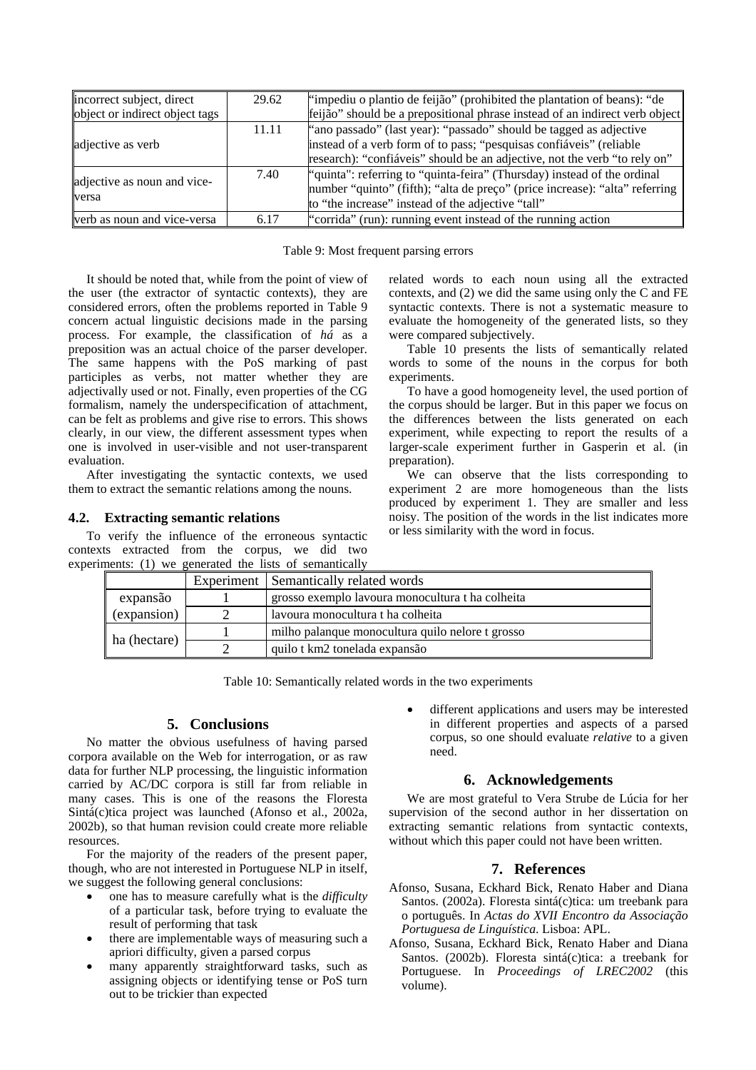| incorrect subject, direct<br>object or indirect object tags | 29.62 | "impediu o plantio de feijão" (prohibited the plantation of beans): "de<br>feijão" should be a prepositional phrase instead of an indirect verb object                                                                 |
|-------------------------------------------------------------|-------|------------------------------------------------------------------------------------------------------------------------------------------------------------------------------------------------------------------------|
| adjective as verb                                           | 11.11 | "ano passado" (last year): "passado" should be tagged as adjective<br>instead of a verb form of to pass; "pesquisas confiáveis" (reliable<br>research): "confiáveis" should be an adjective, not the verb "to rely on" |
| adjective as noun and vice-<br>versa                        | 7.40  | number "quinto" (fifth); "alta de preço" (price increase): "alta" referring   <br>to "the increase" instead of the adjective "tall"                                                                                    |
| verb as noun and vice-versa                                 | 6.17  | "corrida" (run): running event instead of the running action                                                                                                                                                           |

Table 9: Most frequent parsing errors

It should be noted that, while from the point of view of the user (the extractor of syntactic contexts), they are considered errors, often the problems reported in Table 9 concern actual linguistic decisions made in the parsing process. For example, the classification of *há* as a preposition was an actual choice of the parser developer. The same happens with the PoS marking of past participles as verbs, not matter whether they are adjectivally used or not. Finally, even properties of the CG formalism, namely the underspecification of attachment, can be felt as problems and give rise to errors. This shows clearly, in our view, the different assessment types when one is involved in user-visible and not user-transparent evaluation.

After investigating the syntactic contexts, we used them to extract the semantic relations among the nouns.

# **4.2. Extracting semantic relations**

To verify the influence of the erroneous syntactic contexts extracted from the corpus, we did two experiments: (1) we generated the lists of semantically related words to each noun using all the extracted contexts, and (2) we did the same using only the C and FE syntactic contexts. There is not a systematic measure to evaluate the homogeneity of the generated lists, so they were compared subjectively.

Table 10 presents the lists of semantically related words to some of the nouns in the corpus for both experiments.

To have a good homogeneity level, the used portion of the corpus should be larger. But in this paper we focus on the differences between the lists generated on each experiment, while expecting to report the results of a larger-scale experiment further in Gasperin et al. (in preparation).

We can observe that the lists corresponding to experiment 2 are more homogeneous than the lists produced by experiment 1. They are smaller and less noisy. The position of the words in the list indicates more or less similarity with the word in focus.

|              | hems. (1) we generated the fists of semantically | Experiment Semantically related words            |  |
|--------------|--------------------------------------------------|--------------------------------------------------|--|
| expansão     |                                                  | grosso exemplo lavoura monocultura t ha colheita |  |
| (expansion)  |                                                  | lavoura monocultura t ha colheita                |  |
| ha (hectare) |                                                  | milho palanque monocultura quilo nelore t grosso |  |
|              |                                                  | quilo t km2 tonelada expansão                    |  |

Table 10: Semantically related words in the two experiments

# **5. Conclusions**

No matter the obvious usefulness of having parsed corpora available on the Web for interrogation, or as raw data for further NLP processing, the linguistic information carried by AC/DC corpora is still far from reliable in many cases. This is one of the reasons the Floresta Sintá(c)tica project was launched (Afonso et al., 2002a, 2002b), so that human revision could create more reliable resources.

For the majority of the readers of the present paper, though, who are not interested in Portuguese NLP in itself, we suggest the following general conclusions:

- one has to measure carefully what is the *difficulty* of a particular task, before trying to evaluate the result of performing that task
- there are implementable ways of measuring such a apriori difficulty, given a parsed corpus
- many apparently straightforward tasks, such as assigning objects or identifying tense or PoS turn out to be trickier than expected

different applications and users may be interested in different properties and aspects of a parsed corpus, so one should evaluate *relative* to a given need.

# **6. Acknowledgements**

We are most grateful to Vera Strube de Lúcia for her supervision of the second author in her dissertation on extracting semantic relations from syntactic contexts, without which this paper could not have been written.

# **7. References**

- Afonso, Susana, Eckhard Bick, Renato Haber and Diana Santos. (2002a). Floresta sintá(c)tica: um treebank para o português. In *Actas do XVII Encontro da Associação Portuguesa de Linguística*. Lisboa: APL.
- Afonso, Susana, Eckhard Bick, Renato Haber and Diana Santos. (2002b). Floresta sintá(c)tica: a treebank for Portuguese. In *Proceedings of LREC2002* (this volume).